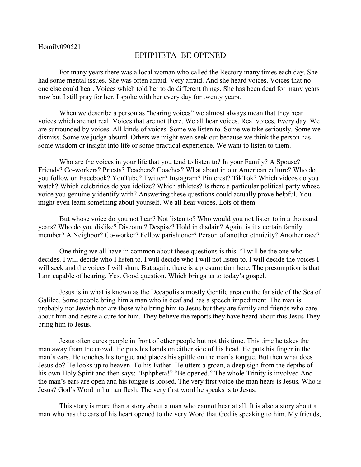## Homily090521

## EPHPHETA BE OPENED

For many years there was a local woman who called the Rectory many times each day. She had some mental issues. She was often afraid. Very afraid. And she heard voices. Voices that no one else could hear. Voices which told her to do different things. She has been dead for many years now but I still pray for her. I spoke with her every day for twenty years.

When we describe a person as "hearing voices" we almost always mean that they hear voices which are not real. Voices that are not there. We all hear voices. Real voices. Every day. We are surrounded by voices. All kinds of voices. Some we listen to. Some we take seriously. Some we dismiss. Some we judge absurd. Others we might even seek out because we think the person has some wisdom or insight into life or some practical experience. We want to listen to them.

Who are the voices in your life that you tend to listen to? In your Family? A Spouse? Friends? Co-workers? Priests? Teachers? Coaches? What about in our American culture? Who do you follow on Facebook? YouTube? Twitter? Instagram? Pinterest? TikTok? Which videos do you watch? Which celebrities do you idolize? Which athletes? Is there a particular political party whose voice you genuinely identify with? Answering these questions could actually prove helpful. You might even learn something about yourself. We all hear voices. Lots of them.

But whose voice do you not hear? Not listen to? Who would you not listen to in a thousand years? Who do you dislike? Discount? Despise? Hold in disdain? Again, is it a certain family member? A Neighbor? Co-worker? Fellow parishioner? Person of another ethnicity? Another race?

One thing we all have in common about these questions is this: "I will be the one who decides. I will decide who I listen to. I will decide who I will not listen to. I will decide the voices I will seek and the voices I will shun. But again, there is a presumption here. The presumption is that I am capable of hearing. Yes. Good question. Which brings us to today's gospel.

Jesus is in what is known as the Decapolis a mostly Gentile area on the far side of the Sea of Galilee. Some people bring him a man who is deaf and has a speech impediment. The man is probably not Jewish nor are those who bring him to Jesus but they are family and friends who care about him and desire a cure for him. They believe the reports they have heard about this Jesus They bring him to Jesus.

Jesus often cures people in front of other people but not this time. This time he takes the man away from the crowd. He puts his hands on either side of his head. He puts his finger in the man's ears. He touches his tongue and places his spittle on the man's tongue. But then what does Jesus do? He looks up to heaven. To his Father. He utters a groan, a deep sigh from the depths of his own Holy Spirit and then says: "Ephpheta!" "Be opened." The whole Trinity is involved And the man's ears are open and his tongue is loosed. The very first voice the man hears is Jesus. Who is Jesus? God's Word in human flesh. The very first word he speaks is to Jesus.

This story is more than a story about a man who cannot hear at all. It is also a story about a man who has the ears of his heart opened to the very Word that God is speaking to him. My friends,